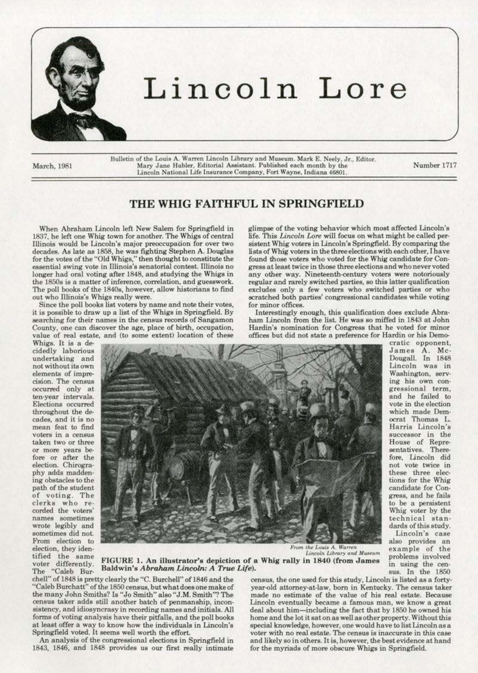

# Lincoln Lore

March, 1981

Bulletin of the Louis A. Warren Lincoln Library and Museum. Mark E. Neely, Jr., Editor.<br>Mary Jane Hubler, Editorial Assistant. Published each month by the Lincoln National Life Insurance Company, Fort Wayne, Indiana 46801.

Number 1717

### THE WHIG FAITHFUL IN SPRINGFIELD

When Abraham Lincoln left New Salem for Springfield in glimpse of the voting behavior which most affected Lincoln's 18\$7, he left one Whig town for another. The Whigs of central life. This *Lincoln Lore* will focus on what might be called per-Illinois would be Lincoln's major preoccupation for over two sistent Whig voters in Lincoln's Springfield. By comparing the decades. As late as 1858, he was fighting Stephen A. Douglas lists of Whig voters in the three ele decades. As late as 1858, he was fighting Stephen A. Douglas lists of Whig voters in the three elections with each other, I have<br>for the votes of the "Old Whigs," then thought to constitute the found those voters who voted for the votes of the "Old Whigs," then thought to constitute the essential swing vote in Illinois's senatorial contest. Illinois no longer had oral voting after 1848, and studying the Whigs in the 1850s is a matter of inference, correlation, and guesswork. the 1850s is a matter of inference, correlation, and guesswork. regular and rarely switched parties, so this latter qualification<br>The poll books of the 1840s, however, allow historians to find excludes only a few voters wh The poll books of the 1840s, however, allow historians to find excludes only a few voters who switched parties or who out who Illinois's Whigs really were.

Since the poll books list voters by name and note their votes, for minor offices.<br>
is possible to draw up a list of the Whigs in Springfield. By Interestingly enough, this qualification does exclude Abrait is possible to draw up a list of the Whigs in Springfield. By searching for their names in the census records of Sangamon searching for their names in the census records of Sangamon ham Lincoln from the list. He was so miffed in 1843 at John<br>County, one can discover the age, place of birth, occupation, Hardin's nomination for Congress that he value of real estate, and (to some extent) location of these Whigs. It is a de-

not without its own<br>elements of impre-Elections occurred<br>throughout the decades, and it is no<br>mean feat to find of voting. The<br>clerks who re-



gress at least twice in those three elections and who never voted<br>any other way. Nineteenth-century voters were notoriously scratched both parties' congressional candidates while voting<br>for minor offices.

Hardin's nomination for Congress that he voted for minor<br>offices but did not state a preference for Hardin or his Demo-

James A. Mc-<br>Dougall. In 1848 which made Dem-<br>ocrat Thomas L. Harris Lincoln's fore, Lincoln did<br>not vote twice in technical stan-<br>dards of this study.

From the Louis A. Warren<br>*Lincoln Library and Museum* 

tified the same FIGURE 1. An illustrator's depiction of a Whig rally in 1840 (from James problems involved<br>voter differently. Baldwin's Abraham Lincoln: A True Life).<br>The "Caleb Bur- Baldwin's Abraham Lincoln: A True Life)

cheul" of 1848 is pretty clearly the "C. Burchell" of 1846 and the census, the one used for this study, Lincoln is listed as a forty-<br>Caleb Burchatt" of the 1850 census, but what does one make of year-old attorney-at-law, "Caleb Burchatt" of the 1850 census, but what does one make of year-old attorney-at-law, born in Kentucky. The census taker<br>the many John Smiths? Is "Jo Smith" also "J.M. Smith"? The made no estimate of the value of his re the many John Smiths? Is "Jo Smith" also "J.M. Smith"? The census taker adds still another batch of penmanship, inconsistency, and idiosyncrasy in recording names and initials. All deal about him—including the fact that by 1850 he owned his forms of voting analysis have their pitfalls, and the poll books home and the lot it sat on as wel at least offer a way to know how the individuals in Lincoln's Springfield voted. It seems well worth the effort.

1843, 1846, and 1848 provides us our first really intimate for the myriads of more obscure Whigs in Springfield.

Lincoln eventually became a famous man, we know a great home and the lot it sat on as well as other property. Without this<br>special knowledge, however, one would have to list Lincoln as a oringfield voted. It seems well worth the effort. voter with no real estate. The census is inaccurate in this case<br>An analysis of the congressional elections in Springfield in and likely so in others. It is, however, the b and likely so in others. It is, however, the best evidence at hand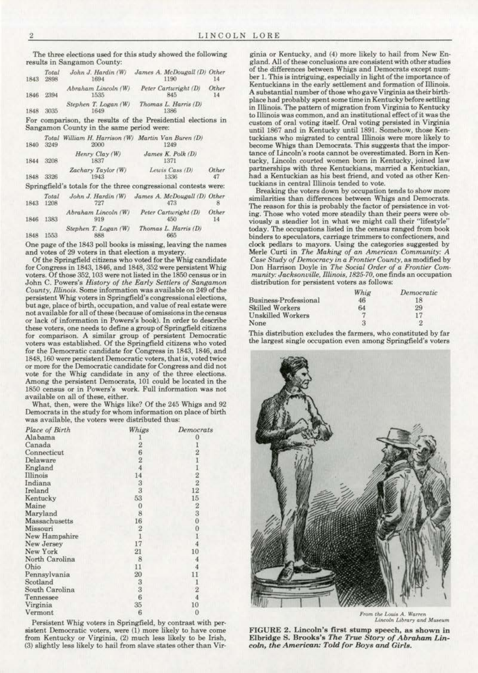The three elections used for this study showed the following results in Sangamon County:

| 1843 | Total<br>2898 | John J. Hardin (W)<br>1694   | James A. McDougall (D) Other<br>1190 |             |
|------|---------------|------------------------------|--------------------------------------|-------------|
| 1846 | 2394          | Abraham Lincoln (W)<br>1535  | Peter Cartwright (D)<br>845          | Other<br>14 |
| 1848 | 3035          | Stephen T. Logan (W)<br>1649 | Thomas L. Harris (D)<br>1386         |             |

**For comparison, the results of the Presidential elections in**  Sangamon County in the same period were:

| 1840 | 3249 | Total William H. Harrison (W) Martin Van Buren (D)<br>2000      | 1249                          |             |
|------|------|-----------------------------------------------------------------|-------------------------------|-------------|
| 1844 | 3208 | Henry Clay (W)<br>1837                                          | James $K.$ Polk $(D)$<br>1371 |             |
| 1848 | 3326 | Zachary Taylor (W)<br>1943                                      | Lewis Cass (D)<br>1336        | Other<br>47 |
|      |      | Springfield's totals for the three congressional contests were: |                               |             |

| 1843 | Total<br>1208 | John J. Hardin (W)<br>727  | James A. McDougall (D) Other<br>473 |       |
|------|---------------|----------------------------|-------------------------------------|-------|
| 1846 | 1383          | Abraham Lincoln (W)<br>919 | Peter Cartwright (D)<br>450         | Other |
| 1848 | 1553          | Stephen T. Logan (W)       | Thomas L. Harris (D)<br>665         |       |

One page of the 1843 poll books is missing, leaving the names **and votes of 29 voters in that election a mystery.** 

Of the Springfield citizens who voted for the Whig candidate for Congress in 1843, 1846, and 1848, 352 were persistent Whig **voters. Of those 352, 103 were not listed in the 1850 census or in**  John C. Powers's *History of the Early Settlers of Sangamon County, 1/Unois.* **Some infonnation was available on 249 of the**  persistent Whig voters in Springfield's congressional elections, but age, place of birth, occupstion. and value of real estsw were **not available for all of these (because of omissions in the census or lack of information in Powers's book). In order to describe**  these voters. one needs to define a group of Springfield citizens for comparison. A similar group of persistent Democratic voters was established. Of the Springfield citizens wbo voted for the Democratic candidate for Congress in 1843, 1846, and 1848, 160 were persistent Democratic voters, that is, voted twice or more for the Democratic candidate for Congress and did not vote for the Whig candidate in any of the three elections. Among the persistent Democrats. 101 could be located in tbe **1850 census or in Powers's work. Full information was not**  available on all of these, either.

What, then, were the Whigs like? Of the 245 Whigs and 92 **Democrats in the study for whom information on place of birth was available, the voters were distributed thus:** 

| Place of Birth | Whigs                                      | <b>Democrats</b>                               |
|----------------|--------------------------------------------|------------------------------------------------|
| Alabama        |                                            |                                                |
| Canada         |                                            |                                                |
| Connecticut    | $\frac{2}{6}$ $\frac{6}{4}$                |                                                |
| Delaware       |                                            |                                                |
| England        |                                            | 21122                                          |
| Illinois       | 14                                         |                                                |
| Indiana        | 3                                          |                                                |
| Ireland        | 3                                          | 12                                             |
| Kentucky       | 53                                         | $15\,$                                         |
| Maine          | $\overline{0}$                             | $\overline{2}$                                 |
| Maryland       | $\dot{8}$                                  | 3                                              |
| Massachusetts  | 16                                         | $\overline{0}$                                 |
| Missouri       | $\begin{smallmatrix}2\\1\end{smallmatrix}$ | $\begin{smallmatrix}0&1\\1&4\end{smallmatrix}$ |
| New Hampshire  |                                            |                                                |
| New Jersey     | 17                                         |                                                |
| New York       | 21                                         | 10                                             |
| North Carolina | 8                                          |                                                |
| Ohio           | 11                                         | 4                                              |
| Pennsylvania   | 20                                         | 11                                             |
| Scotland       | $\boldsymbol{3}$                           | $\frac{1}{2}$                                  |
| South Carolina | 3                                          |                                                |
| Tennessee      | $\ddot{6}$                                 | $\overline{4}$                                 |
| Virginia       | 35                                         | 10                                             |
| Vermont        | 6                                          | 0                                              |

Persistent Whig voters in Springfield, by contrast with per-<br>sistent Democratic voters, were (1) more likely to have come from Kentucky or Virginia, (2) much less likely to be Irish, (3) slightly less likely to hail from slave states other than Vir·

ginia or Kentucky, and (4) more likely to hail from New En· **gland. All of these conclusions are consistent with other studies**  of the differences between Whigs and Democrats except number 1. This is intriguing, especially in light of the importance of **Kentuckians in the early settlement and formation of lllinois.**  A substantial number of those who gave Virginia as their birthplace had probably spent some time in Kentucky before settling in Illinois. The pattern of migration from Virginia to Kentucky **to Illinois was common, and an institutional effect of it was the custom of oral voting itself. Oral voting persisted in Virginia**  until 1867 and in Kentucky until 1891. Somehow, those Ken· **tuckians who migrated to central Dlinois were more likely to**  become Whigs than Democrats. This suggests that the impor**tance of Lincoln's roots cannot be overestimated. Born in Ken· tucky, Lincoln courted women born in Kentucky, joined law partnerships with three Kentuckians, married a Kentuckian,**  had a Kentuckian as his best friend, and voted as other Ken· tuckians in central Illinois tended to vote.

**Breaking the voters down by occupation tends to show more**  similarities than differences between Whigs and Democrata. **The reason for this is probably the factor of persistence in voting. Those who voted more steadily than their peers were obviously a steadier lot in what we might call their "lifestyle"**  today. The occupations listed in the census ranged from book **binders to speculators, carriage trimmers to confectioners, and**  clock pedlars to mayors. Using the categories suggested by Merle Curti in *The Making of an American Community: A Case Study of Demccracy in* o *Frontier County,* as modified by Don Harrison Doyle in *The Social Order of a Frontier Com· munity: JccksonviUe, lllitwis, 1825·70.* **one finds an occupation distribution for persistent voters as follows:** 

|                       | Whig   | Democratic     |
|-----------------------|--------|----------------|
| Business-Professional | 46     |                |
| Skilled Workers       | 64     | 29             |
| Unskilled Workers     | $\tau$ | 17.            |
| None                  | 3      | $\overline{2}$ |

**This distribution excludes the farmers, who constituted by far the largest single occupation even among Springfield's voters** 



*From the Louis A. Warren Lincoln Library* and Museum

FIGURE 2. Lincoln's first stump speech, as shown in Elbridge S. Brooks's *The True Story of A braham L in·*   $\emph{coh}$ , the American: Told for Boys and Girls.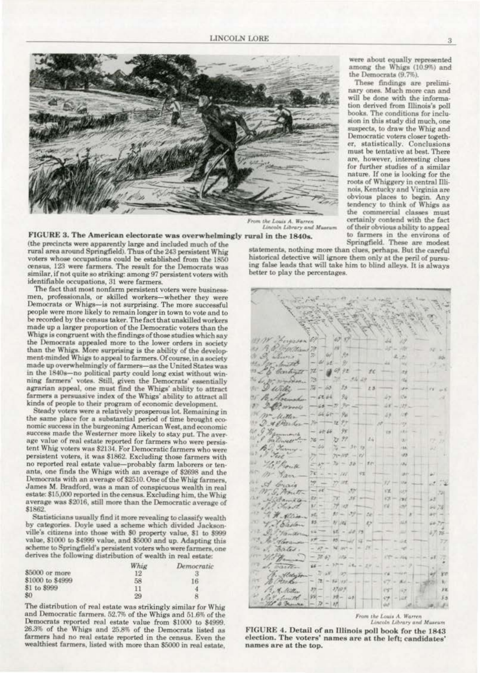

From the Louis A. Warren<br>Lincoln Library and Museu

FIGURE 3. The American electorate was overwhelmingly rural in the 1840s.

(the precincts were apparently large and included much of the<br>rural area around Springfield). Thus of the 243 persistent Whig voters whose occupations could be established from the 1850 census, 123 were farmers. The result for the Democrats was similar, if not quite so striking: among 97 persistent voters with identifiable occupations, 31 were farmers.

The fact that most nonfarm persistent voters were businessmen, professionals, or skilled workers-whether they were Democrats or Whigs-is not surprising. The more successful people were more likely to remain longer in town to vote and to be recorded by the census taker. The fact that unskilled workers made up a larger proportion of the Democratic voters than the Whigs is congruent with the findings of those studies which say the Democrats appealed more to the lower orders in society than the Whigs. More surprising is the ability of the development-minded Whigs to appeal to farmers. Of course, in a society made up overwhelmingly of farmers-as the United States was in the 1840s-no political party could long exist without winning farmers' votes. Still, given the Democrats' essentially agrarian appeal, one must find the Whigs' ability to attract farmers a persuasive index of the Whigs' ability to attract all kinds of people to their program of economic development.

Steady voters were a relatively prosperous lot. Remaining in the same place for a substantial period of time brought economic success in the burgeoning American West, and economic success made the Westerner more likely to stay put. The average value of real estate reported for farmers who were persistent Whig voters was \$2134. For Democratic farmers who were persistent voters, it was \$1862. Excluding those farmers with no reported real estate value-probably farm laborers or tenants, one finds the Whigs with an average of \$2698 and the Democrats with an average of \$2510. One of the Whig farmers, James M. Bradford, was a man of conspicuous wealth in real estate: \$15,000 reported in the census. Excluding him, the Whig average was \$2016, still more than the Democratic average of \$1862.

Statisticians usually find it more revealing to classify wealth by categories. Doyle used a scheme which divided Jacksonville's citizens into those with \$0 property value, \$1 to \$999 value, \$1000 to \$4999 value, and \$5000 and up. Adapting this scheme to Springfield's persistent voters who were farmers, one derives the following distribution of wealth in real estate:

|                  | Whig | Democratic |
|------------------|------|------------|
| \$5000 or more   | 12   |            |
| \$1000 to \$4999 | 58   | 16         |
| \$1 to \$999     | 11   | 4          |
| \$0              | 29   | я          |

The distribution of real estate was strikingly similar for Whig and Democratic farmers, 52.7% of the Whigs and 51.6% of the Democrats reported real estate value from \$1000 to \$4999. 26.3% of the Whigs and 25.8% of the Democrats listed as farmers had no real estate reported in the census. Even the wealthiest farmers, listed with more than \$5000 in real estate,

statements, nothing more than clues, perhaps. But the careful historical detective will ignore them only at the peril of pursuing false leads that will take him to blind alleys. It is always better to play the percentages.



From the Louis A. Warren Lincoln Library and Museum

FIGURE 4. Detail of an Illinois poll book for the 1843 election. The voters' names are at the left; candidates' names are at the top.

3

were about equally represented among the Whigs (10.9%) and the Democrats (9.7%).

These findings are preliminary ones. Much more can and will be done with the information derived from Illinois's poll books. The conditions for inclusion in this study did much, one suspects, to draw the Whig and Democratic voters closer together, statistically. Conclusions must be tentative at best. There are, however, interesting clues for further studies of a similar nature. If one is looking for the roots of Whiggery in central Illinois, Kentucky and Virginia are obvious places to begin. Any tendency to think of Whigs as the commercial classes must certainly contend with the fact of their obvious ability to appeal to farmers in the environs of Springfield. These are modest